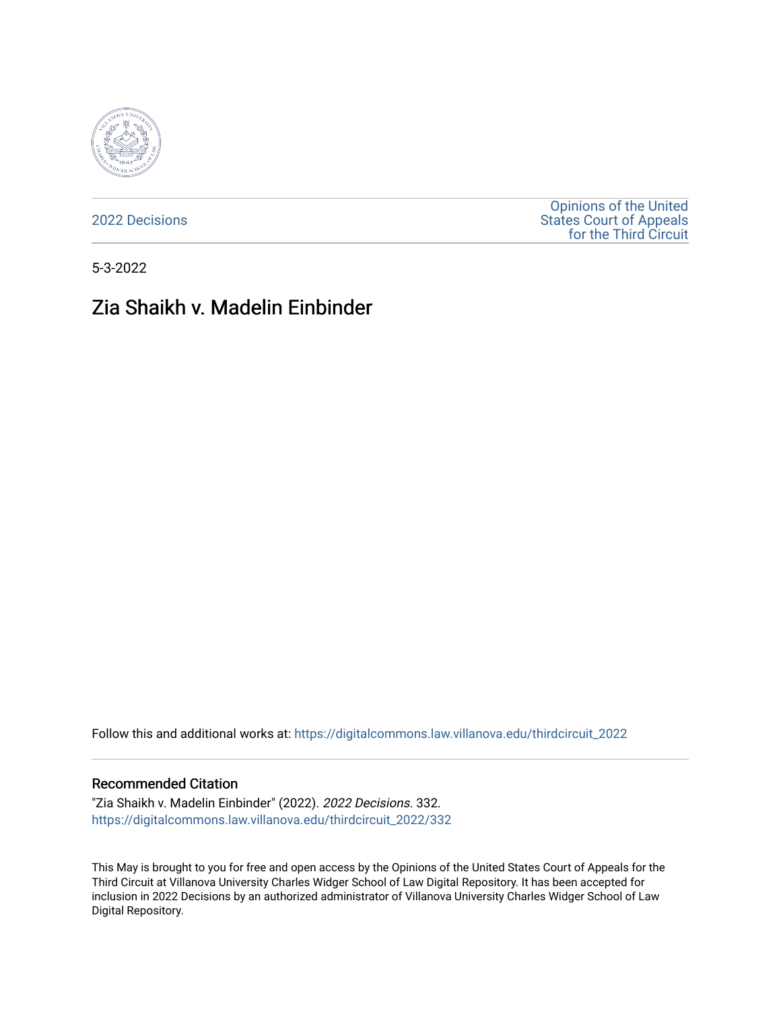

[2022 Decisions](https://digitalcommons.law.villanova.edu/thirdcircuit_2022)

[Opinions of the United](https://digitalcommons.law.villanova.edu/thirdcircuit)  [States Court of Appeals](https://digitalcommons.law.villanova.edu/thirdcircuit)  [for the Third Circuit](https://digitalcommons.law.villanova.edu/thirdcircuit) 

5-3-2022

# Zia Shaikh v. Madelin Einbinder

Follow this and additional works at: [https://digitalcommons.law.villanova.edu/thirdcircuit\\_2022](https://digitalcommons.law.villanova.edu/thirdcircuit_2022?utm_source=digitalcommons.law.villanova.edu%2Fthirdcircuit_2022%2F332&utm_medium=PDF&utm_campaign=PDFCoverPages) 

#### Recommended Citation

"Zia Shaikh v. Madelin Einbinder" (2022). 2022 Decisions. 332. [https://digitalcommons.law.villanova.edu/thirdcircuit\\_2022/332](https://digitalcommons.law.villanova.edu/thirdcircuit_2022/332?utm_source=digitalcommons.law.villanova.edu%2Fthirdcircuit_2022%2F332&utm_medium=PDF&utm_campaign=PDFCoverPages)

This May is brought to you for free and open access by the Opinions of the United States Court of Appeals for the Third Circuit at Villanova University Charles Widger School of Law Digital Repository. It has been accepted for inclusion in 2022 Decisions by an authorized administrator of Villanova University Charles Widger School of Law Digital Repository.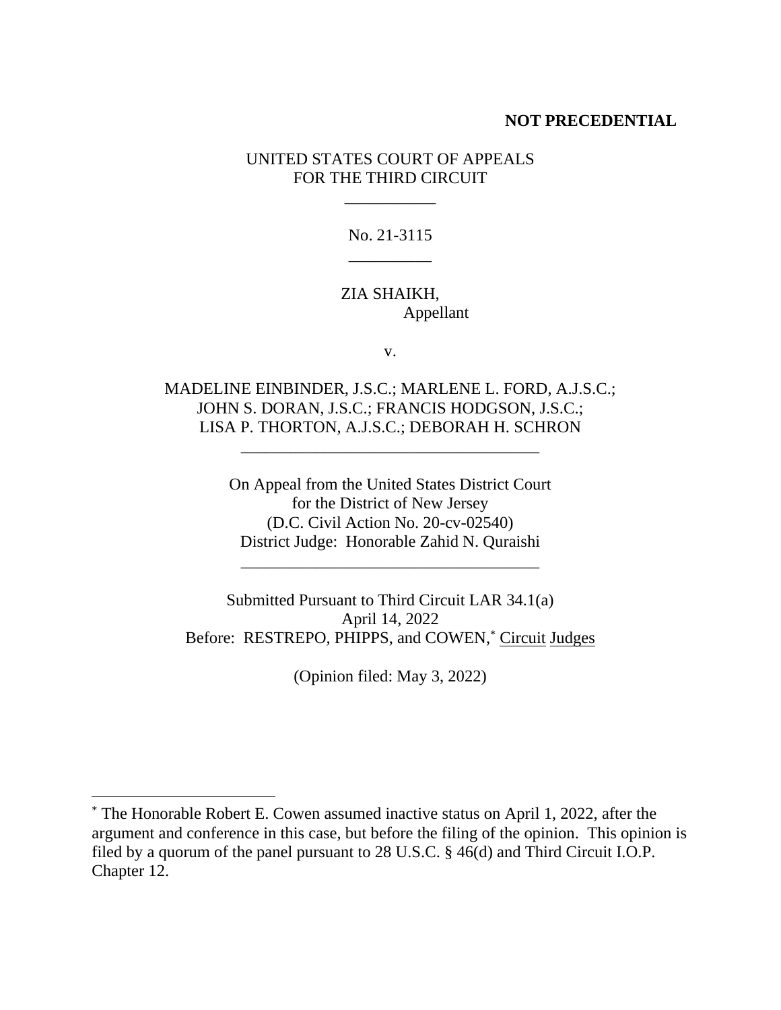#### **NOT PRECEDENTIAL**

### UNITED STATES COURT OF APPEALS FOR THE THIRD CIRCUIT

\_\_\_\_\_\_\_\_\_\_\_

No. 21-3115 \_\_\_\_\_\_\_\_\_\_

## ZIA SHAIKH, Appellant

v.

MADELINE EINBINDER, J.S.C.; MARLENE L. FORD, A.J.S.C.; JOHN S. DORAN, J.S.C.; FRANCIS HODGSON, J.S.C.; LISA P. THORTON, A.J.S.C.; DEBORAH H. SCHRON

\_\_\_\_\_\_\_\_\_\_\_\_\_\_\_\_\_\_\_\_\_\_\_\_\_\_\_\_\_\_\_\_\_\_\_\_

On Appeal from the United States District Court for the District of New Jersey (D.C. Civil Action No. 20-cv-02540) District Judge: Honorable Zahid N. Quraishi

\_\_\_\_\_\_\_\_\_\_\_\_\_\_\_\_\_\_\_\_\_\_\_\_\_\_\_\_\_\_\_\_\_\_\_\_

Submitted Pursuant to Third Circuit LAR 34.1(a) April 14, 2022 Before: RESTREPO, PHIPPS, and COWEN,<sup>\*</sup> Circuit Judges

(Opinion filed: May 3, 2022)

<sup>\*</sup> The Honorable Robert E. Cowen assumed inactive status on April 1, 2022, after the argument and conference in this case, but before the filing of the opinion. This opinion is filed by a quorum of the panel pursuant to 28 U.S.C. § 46(d) and Third Circuit I.O.P. Chapter 12.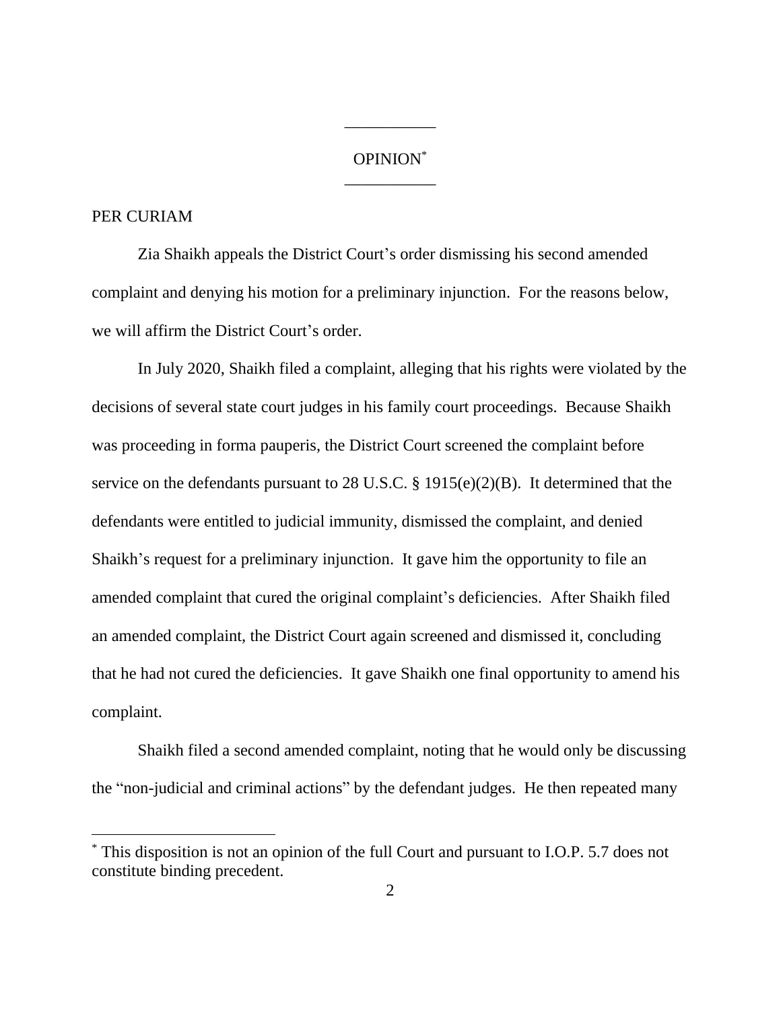## OPINION\* \_\_\_\_\_\_\_\_\_\_\_

\_\_\_\_\_\_\_\_\_\_\_

#### PER CURIAM

Zia Shaikh appeals the District Court's order dismissing his second amended complaint and denying his motion for a preliminary injunction. For the reasons below, we will affirm the District Court's order.

In July 2020, Shaikh filed a complaint, alleging that his rights were violated by the decisions of several state court judges in his family court proceedings. Because Shaikh was proceeding in forma pauperis, the District Court screened the complaint before service on the defendants pursuant to 28 U.S.C. § 1915(e)(2)(B). It determined that the defendants were entitled to judicial immunity, dismissed the complaint, and denied Shaikh's request for a preliminary injunction. It gave him the opportunity to file an amended complaint that cured the original complaint's deficiencies. After Shaikh filed an amended complaint, the District Court again screened and dismissed it, concluding that he had not cured the deficiencies. It gave Shaikh one final opportunity to amend his complaint.

Shaikh filed a second amended complaint, noting that he would only be discussing the "non-judicial and criminal actions" by the defendant judges. He then repeated many

<sup>\*</sup> This disposition is not an opinion of the full Court and pursuant to I.O.P. 5.7 does not constitute binding precedent.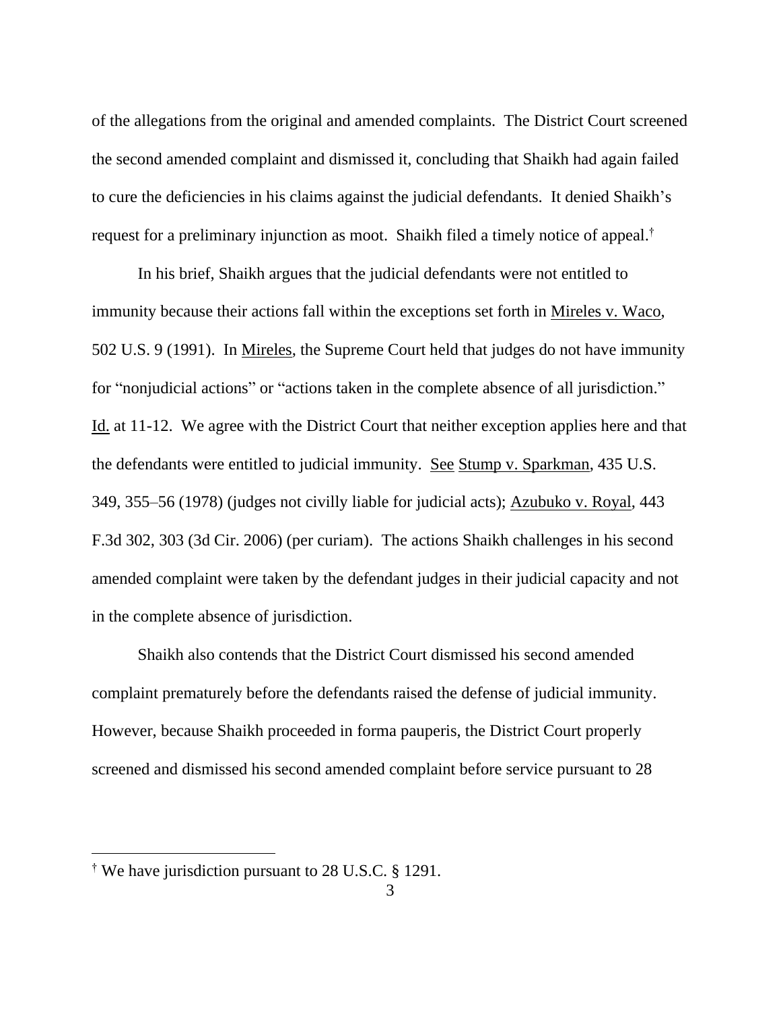of the allegations from the original and amended complaints. The District Court screened the second amended complaint and dismissed it, concluding that Shaikh had again failed to cure the deficiencies in his claims against the judicial defendants. It denied Shaikh's request for a preliminary injunction as moot. Shaikh filed a timely notice of appeal. †

In his brief, Shaikh argues that the judicial defendants were not entitled to immunity because their actions fall within the exceptions set forth in Mireles v. Waco, 502 U.S. 9 (1991). In Mireles, the Supreme Court held that judges do not have immunity for "nonjudicial actions" or "actions taken in the complete absence of all jurisdiction." Id. at 11-12. We agree with the District Court that neither exception applies here and that the defendants were entitled to judicial immunity. See Stump v. Sparkman, 435 U.S. 349, 355–56 (1978) (judges not civilly liable for judicial acts); Azubuko v. Royal, 443 F.3d 302, 303 (3d Cir. 2006) (per curiam). The actions Shaikh challenges in his second amended complaint were taken by the defendant judges in their judicial capacity and not in the complete absence of jurisdiction.

Shaikh also contends that the District Court dismissed his second amended complaint prematurely before the defendants raised the defense of judicial immunity. However, because Shaikh proceeded in forma pauperis, the District Court properly screened and dismissed his second amended complaint before service pursuant to 28

<sup>†</sup> We have jurisdiction pursuant to 28 U.S.C. § 1291.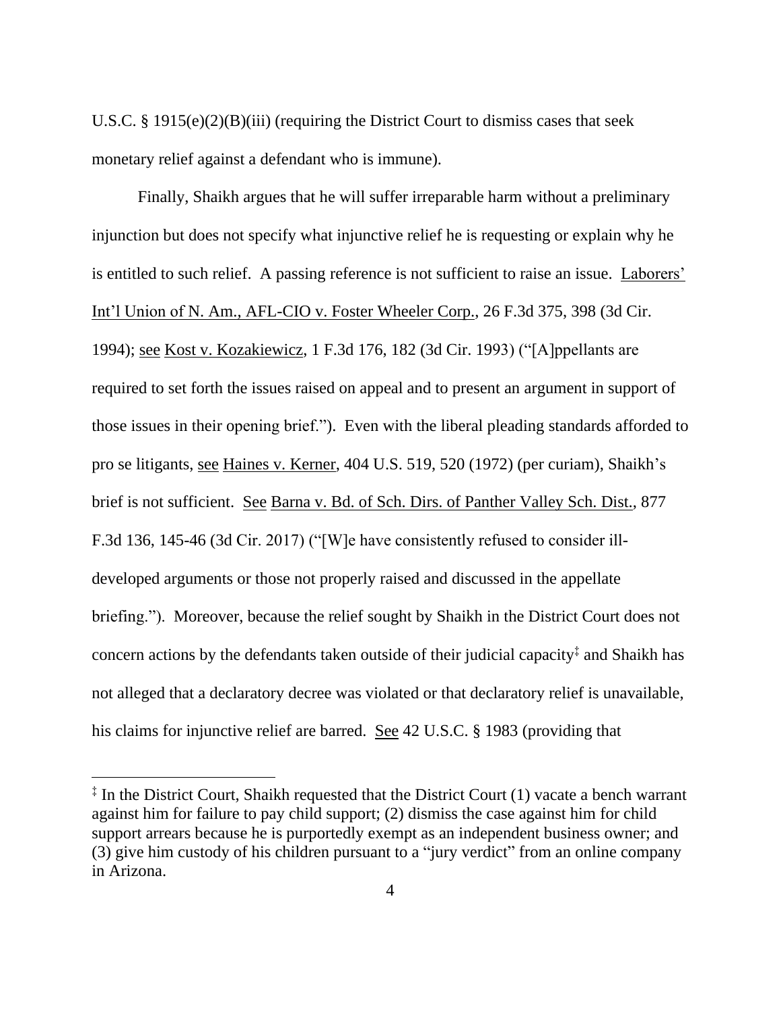U.S.C. § 1915(e)(2)(B)(iii) (requiring the District Court to dismiss cases that seek monetary relief against a defendant who is immune).

Finally, Shaikh argues that he will suffer irreparable harm without a preliminary injunction but does not specify what injunctive relief he is requesting or explain why he is entitled to such relief. A passing reference is not sufficient to raise an issue. Laborers' Int'l Union of N. Am., AFL-CIO v. Foster Wheeler Corp., 26 F.3d 375, 398 (3d Cir. 1994); see Kost v. Kozakiewicz, 1 F.3d 176, 182 (3d Cir. 1993) ("[A]ppellants are required to set forth the issues raised on appeal and to present an argument in support of those issues in their opening brief."). Even with the liberal pleading standards afforded to pro se litigants, see Haines v. Kerner, 404 U.S. 519, 520 (1972) (per curiam), Shaikh's brief is not sufficient. See Barna v. Bd. of Sch. Dirs. of Panther Valley Sch. Dist., 877 F.3d 136, 145-46 (3d Cir. 2017) ("[W]e have consistently refused to consider illdeveloped arguments or those not properly raised and discussed in the appellate briefing."). Moreover, because the relief sought by Shaikh in the District Court does not concern actions by the defendants taken outside of their judicial capacity ‡ and Shaikh has not alleged that a declaratory decree was violated or that declaratory relief is unavailable, his claims for injunctive relief are barred. See 42 U.S.C. § 1983 (providing that

<sup>‡</sup> In the District Court, Shaikh requested that the District Court (1) vacate a bench warrant against him for failure to pay child support; (2) dismiss the case against him for child support arrears because he is purportedly exempt as an independent business owner; and (3) give him custody of his children pursuant to a "jury verdict" from an online company in Arizona.